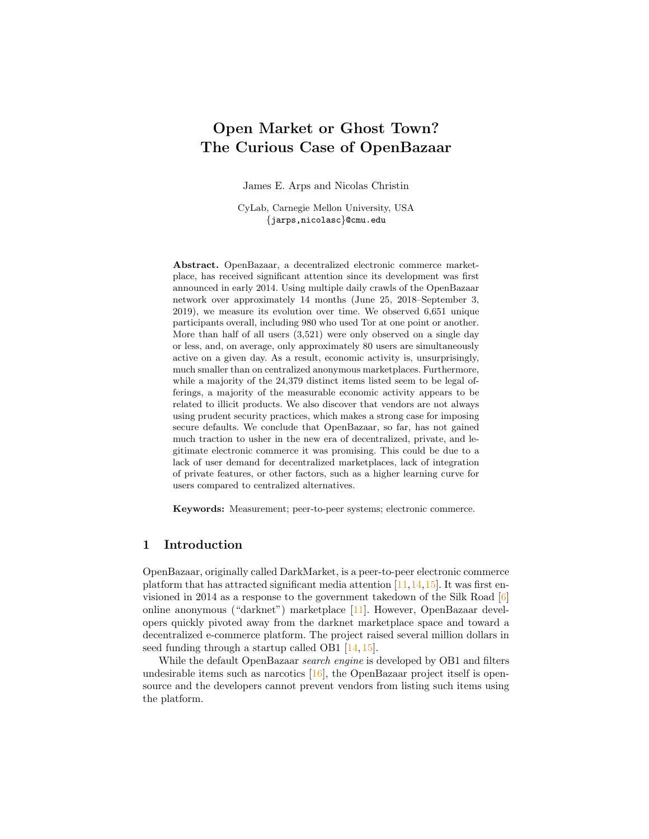# Open Market or Ghost Town? The Curious Case of OpenBazaar

James E. Arps and Nicolas Christin

CyLab, Carnegie Mellon University, USA {jarps,nicolasc}@cmu.edu

Abstract. OpenBazaar, a decentralized electronic commerce marketplace, has received significant attention since its development was first announced in early 2014. Using multiple daily crawls of the OpenBazaar network over approximately 14 months (June 25, 2018–September 3, 2019), we measure its evolution over time. We observed 6,651 unique participants overall, including 980 who used Tor at one point or another. More than half of all users (3,521) were only observed on a single day or less, and, on average, only approximately 80 users are simultaneously active on a given day. As a result, economic activity is, unsurprisingly, much smaller than on centralized anonymous marketplaces. Furthermore, while a majority of the 24,379 distinct items listed seem to be legal offerings, a majority of the measurable economic activity appears to be related to illicit products. We also discover that vendors are not always using prudent security practices, which makes a strong case for imposing secure defaults. We conclude that OpenBazaar, so far, has not gained much traction to usher in the new era of decentralized, private, and legitimate electronic commerce it was promising. This could be due to a lack of user demand for decentralized marketplaces, lack of integration of private features, or other factors, such as a higher learning curve for users compared to centralized alternatives.

Keywords: Measurement; peer-to-peer systems; electronic commerce.

# 1 Introduction

OpenBazaar, originally called DarkMarket, is a peer-to-peer electronic commerce platform that has attracted significant media attention  $[11,14,15]$  $[11,14,15]$  $[11,14,15]$ . It was first envisioned in 2014 as a response to the government takedown of the Silk Road [\[6\]](#page-15-1) online anonymous ("darknet") marketplace [\[11\]](#page-15-0). However, OpenBazaar developers quickly pivoted away from the darknet marketplace space and toward a decentralized e-commerce platform. The project raised several million dollars in seed funding through a startup called OB1 [\[14,](#page-16-0) [15\]](#page-16-1).

While the default OpenBazaar search engine is developed by OB1 and filters undesirable items such as narcotics  $[16]$ , the OpenBazaar project itself is opensource and the developers cannot prevent vendors from listing such items using the platform.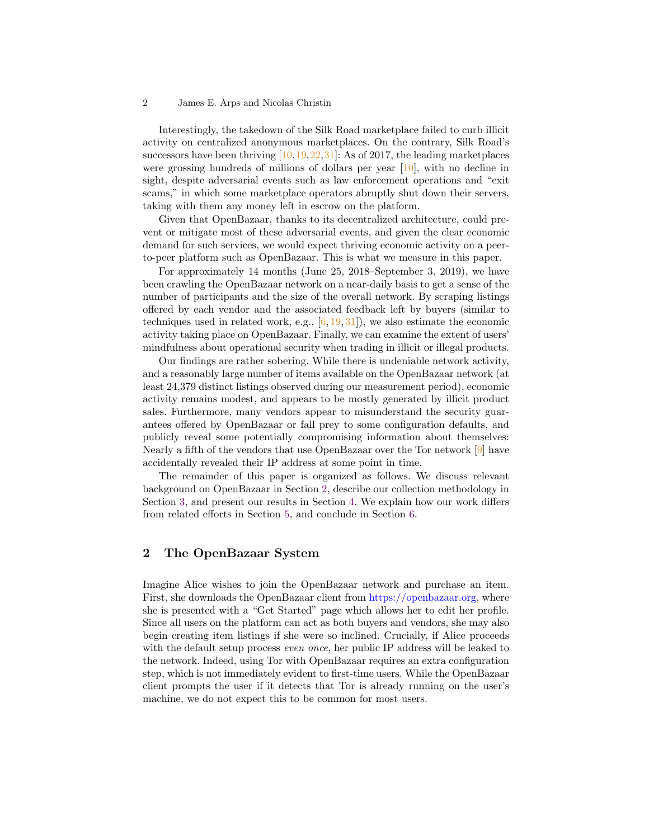Interestingly, the takedown of the Silk Road marketplace failed to curb illicit activity on centralized anonymous marketplaces. On the contrary, Silk Road's successors have been thriving  $[10,19,22,31]$  $[10,19,22,31]$  $[10,19,22,31]$  $[10,19,22,31]$ : As of 2017, the leading marketplaces were grossing hundreds of millions of dollars per year [\[10\]](#page-15-2), with no decline in sight, despite adversarial events such as law enforcement operations and "exit scams," in which some marketplace operators abruptly shut down their servers, taking with them any money left in escrow on the platform.

Given that OpenBazaar, thanks to its decentralized architecture, could prevent or mitigate most of these adversarial events, and given the clear economic demand for such services, we would expect thriving economic activity on a peerto-peer platform such as OpenBazaar. This is what we measure in this paper.

For approximately 14 months (June 25, 2018–September 3, 2019), we have been crawling the OpenBazaar network on a near-daily basis to get a sense of the number of participants and the size of the overall network. By scraping listings offered by each vendor and the associated feedback left by buyers (similar to techniques used in related work, e.g.,  $[6, 19, 31]$  $[6, 19, 31]$  $[6, 19, 31]$  $[6, 19, 31]$  $[6, 19, 31]$ , we also estimate the economic activity taking place on OpenBazaar. Finally, we can examine the extent of users' mindfulness about operational security when trading in illicit or illegal products.

Our findings are rather sobering. While there is undeniable network activity, and a reasonably large number of items available on the OpenBazaar network (at least 24,379 distinct listings observed during our measurement period), economic activity remains modest, and appears to be mostly generated by illicit product sales. Furthermore, many vendors appear to misunderstand the security guarantees offered by OpenBazaar or fall prey to some configuration defaults, and publicly reveal some potentially compromising information about themselves: Nearly a fifth of the vendors that use OpenBazaar over the Tor network [\[9\]](#page-15-3) have accidentally revealed their IP address at some point in time.

The remainder of this paper is organized as follows. We discuss relevant background on OpenBazaar in Section [2,](#page-1-0) describe our collection methodology in Section [3,](#page-3-0) and present our results in Section [4.](#page-6-0) We explain how our work differs from related efforts in Section [5,](#page-14-0) and conclude in Section [6.](#page-14-1)

# <span id="page-1-0"></span>2 The OpenBazaar System

Imagine Alice wishes to join the OpenBazaar network and purchase an item. First, she downloads the OpenBazaar client from [https://openbazaar.org,](https://openbazaar.org) where she is presented with a "Get Started" page which allows her to edit her profile. Since all users on the platform can act as both buyers and vendors, she may also begin creating item listings if she were so inclined. Crucially, if Alice proceeds with the default setup process *even once*, her public IP address will be leaked to the network. Indeed, using Tor with OpenBazaar requires an extra configuration step, which is not immediately evident to first-time users. While the OpenBazaar client prompts the user if it detects that Tor is already running on the user's machine, we do not expect this to be common for most users.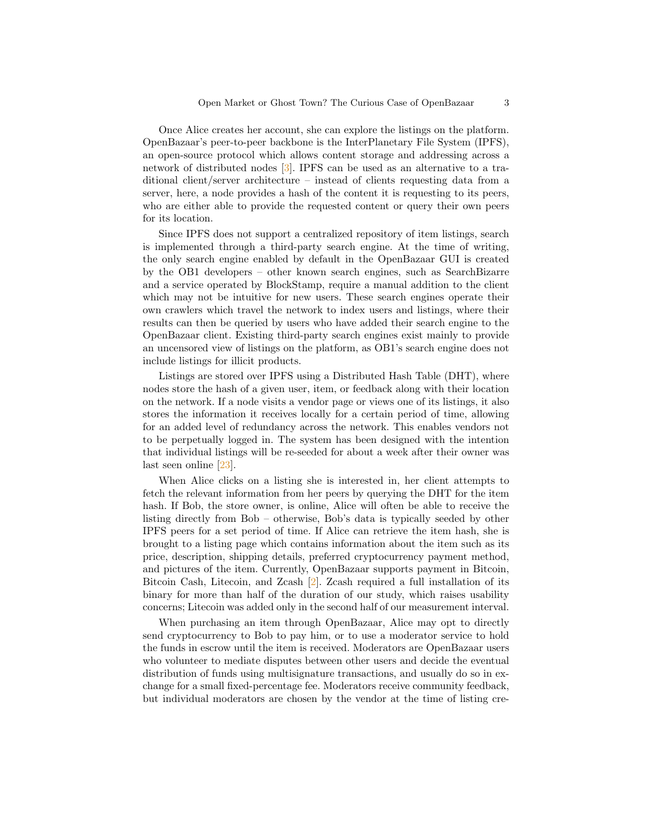Once Alice creates her account, she can explore the listings on the platform. OpenBazaar's peer-to-peer backbone is the InterPlanetary File System (IPFS), an open-source protocol which allows content storage and addressing across a network of distributed nodes [\[3\]](#page-15-4). IPFS can be used as an alternative to a traditional client/server architecture – instead of clients requesting data from a server, here, a node provides a hash of the content it is requesting to its peers, who are either able to provide the requested content or query their own peers for its location.

Since IPFS does not support a centralized repository of item listings, search is implemented through a third-party search engine. At the time of writing, the only search engine enabled by default in the OpenBazaar GUI is created by the OB1 developers – other known search engines, such as SearchBizarre and a service operated by BlockStamp, require a manual addition to the client which may not be intuitive for new users. These search engines operate their own crawlers which travel the network to index users and listings, where their results can then be queried by users who have added their search engine to the OpenBazaar client. Existing third-party search engines exist mainly to provide an uncensored view of listings on the platform, as OB1's search engine does not include listings for illicit products.

Listings are stored over IPFS using a Distributed Hash Table (DHT), where nodes store the hash of a given user, item, or feedback along with their location on the network. If a node visits a vendor page or views one of its listings, it also stores the information it receives locally for a certain period of time, allowing for an added level of redundancy across the network. This enables vendors not to be perpetually logged in. The system has been designed with the intention that individual listings will be re-seeded for about a week after their owner was last seen online [\[23\]](#page-16-5).

When Alice clicks on a listing she is interested in, her client attempts to fetch the relevant information from her peers by querying the DHT for the item hash. If Bob, the store owner, is online, Alice will often be able to receive the listing directly from Bob – otherwise, Bob's data is typically seeded by other IPFS peers for a set period of time. If Alice can retrieve the item hash, she is brought to a listing page which contains information about the item such as its price, description, shipping details, preferred cryptocurrency payment method, and pictures of the item. Currently, OpenBazaar supports payment in Bitcoin, Bitcoin Cash, Litecoin, and Zcash [\[2\]](#page-15-5). Zcash required a full installation of its binary for more than half of the duration of our study, which raises usability concerns; Litecoin was added only in the second half of our measurement interval.

When purchasing an item through OpenBazaar, Alice may opt to directly send cryptocurrency to Bob to pay him, or to use a moderator service to hold the funds in escrow until the item is received. Moderators are OpenBazaar users who volunteer to mediate disputes between other users and decide the eventual distribution of funds using multisignature transactions, and usually do so in exchange for a small fixed-percentage fee. Moderators receive community feedback, but individual moderators are chosen by the vendor at the time of listing cre-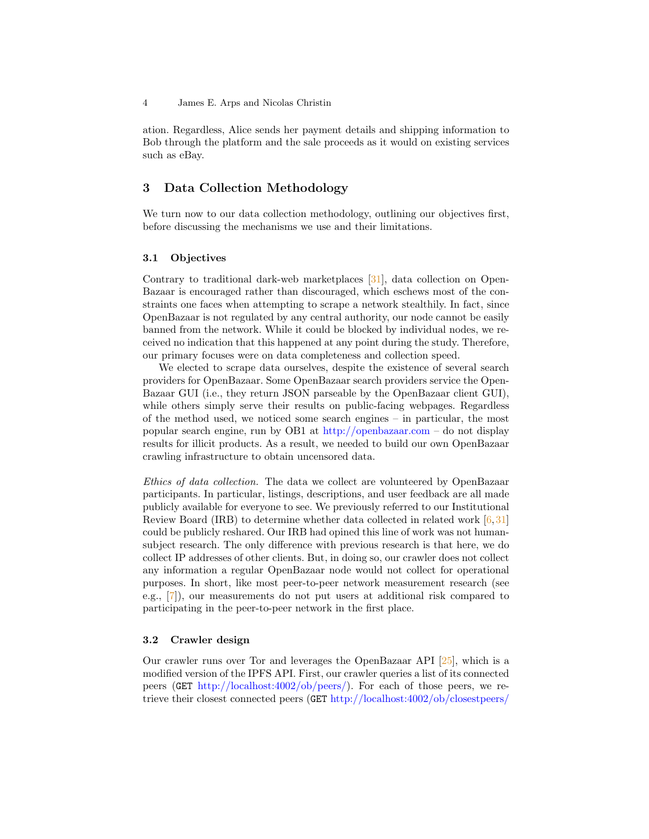ation. Regardless, Alice sends her payment details and shipping information to Bob through the platform and the sale proceeds as it would on existing services such as eBay.

# <span id="page-3-0"></span>3 Data Collection Methodology

We turn now to our data collection methodology, outlining our objectives first, before discussing the mechanisms we use and their limitations.

## 3.1 Objectives

Contrary to traditional dark-web marketplaces [\[31\]](#page-17-0), data collection on Open-Bazaar is encouraged rather than discouraged, which eschews most of the constraints one faces when attempting to scrape a network stealthily. In fact, since OpenBazaar is not regulated by any central authority, our node cannot be easily banned from the network. While it could be blocked by individual nodes, we received no indication that this happened at any point during the study. Therefore, our primary focuses were on data completeness and collection speed.

We elected to scrape data ourselves, despite the existence of several search providers for OpenBazaar. Some OpenBazaar search providers service the Open-Bazaar GUI (i.e., they return JSON parseable by the OpenBazaar client GUI), while others simply serve their results on public-facing webpages. Regardless of the method used, we noticed some search engines – in particular, the most popular search engine, run by OB1 at <http://openbazaar.com> – do not display results for illicit products. As a result, we needed to build our own OpenBazaar crawling infrastructure to obtain uncensored data.

Ethics of data collection. The data we collect are volunteered by OpenBazaar participants. In particular, listings, descriptions, and user feedback are all made publicly available for everyone to see. We previously referred to our Institutional Review Board (IRB) to determine whether data collected in related work [\[6,](#page-15-1)[31\]](#page-17-0) could be publicly reshared. Our IRB had opined this line of work was not humansubject research. The only difference with previous research is that here, we do collect IP addresses of other clients. But, in doing so, our crawler does not collect any information a regular OpenBazaar node would not collect for operational purposes. In short, like most peer-to-peer network measurement research (see e.g., [\[7\]](#page-15-6)), our measurements do not put users at additional risk compared to participating in the peer-to-peer network in the first place.

### 3.2 Crawler design

Our crawler runs over Tor and leverages the OpenBazaar API [\[25\]](#page-16-6), which is a modified version of the IPFS API. First, our crawler queries a list of its connected peers (GET http://localhost:4002/ob/peers/). For each of those peers, we retrieve their closest connected peers (GET http://localhost:4002/ob/closestpeers/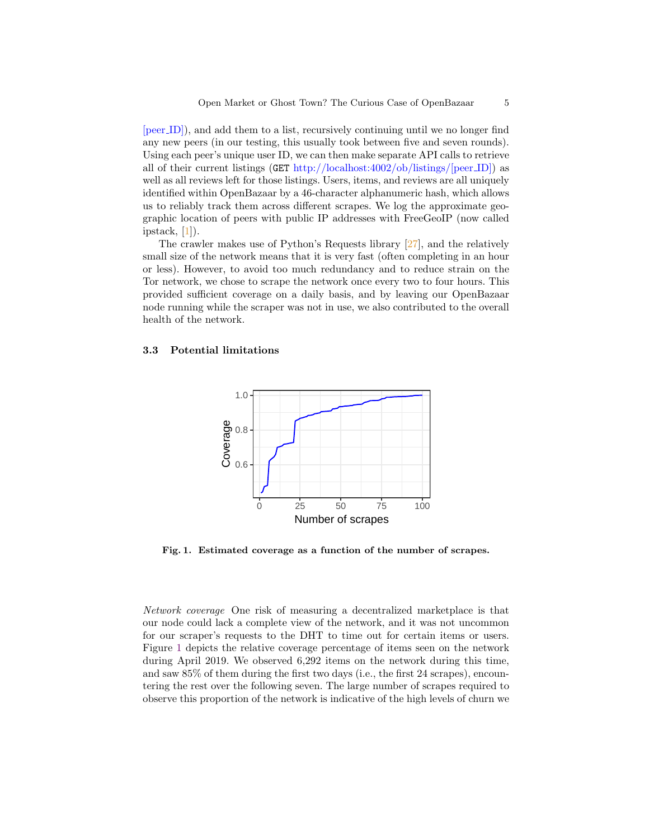[peer ID]), and add them to a list, recursively continuing until we no longer find any new peers (in our testing, this usually took between five and seven rounds). Using each peer's unique user ID, we can then make separate API calls to retrieve all of their current listings (GET http://localhost:4002/ob/listings/[peer ID]) as well as all reviews left for those listings. Users, items, and reviews are all uniquely identified within OpenBazaar by a 46-character alphanumeric hash, which allows us to reliably track them across different scrapes. We log the approximate geographic location of peers with public IP addresses with FreeGeoIP (now called ipstack,  $[1]$ .

The crawler makes use of Python's Requests library [\[27\]](#page-16-7), and the relatively small size of the network means that it is very fast (often completing in an hour or less). However, to avoid too much redundancy and to reduce strain on the Tor network, we chose to scrape the network once every two to four hours. This provided sufficient coverage on a daily basis, and by leaving our OpenBazaar node running while the scraper was not in use, we also contributed to the overall health of the network.

## 3.3 Potential limitations



<span id="page-4-0"></span>Fig. 1. Estimated coverage as a function of the number of scrapes.

Network coverage One risk of measuring a decentralized marketplace is that our node could lack a complete view of the network, and it was not uncommon for our scraper's requests to the DHT to time out for certain items or users. Figure [1](#page-4-0) depicts the relative coverage percentage of items seen on the network during April 2019. We observed 6,292 items on the network during this time, and saw 85% of them during the first two days (i.e., the first 24 scrapes), encountering the rest over the following seven. The large number of scrapes required to observe this proportion of the network is indicative of the high levels of churn we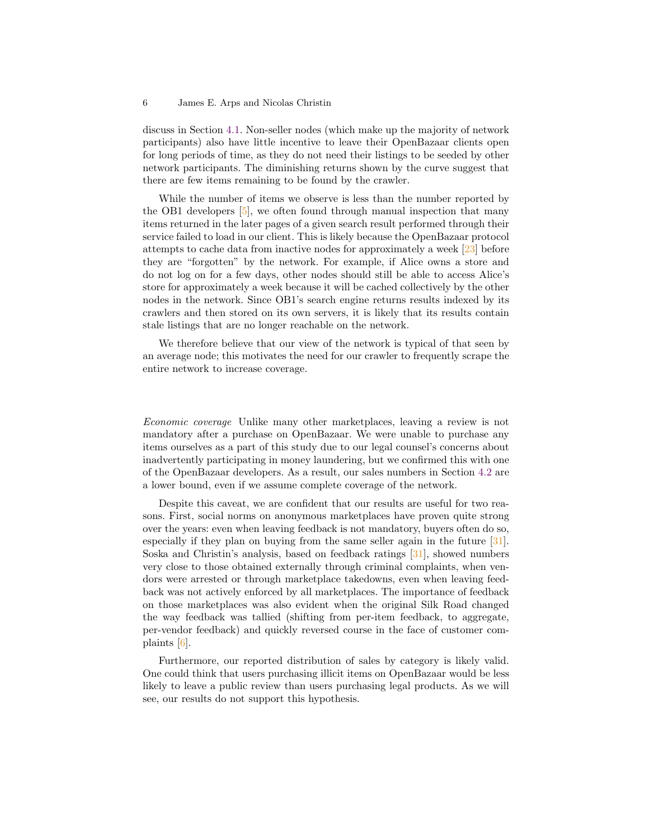discuss in Section [4.1.](#page-6-1) Non-seller nodes (which make up the majority of network participants) also have little incentive to leave their OpenBazaar clients open for long periods of time, as they do not need their listings to be seeded by other network participants. The diminishing returns shown by the curve suggest that there are few items remaining to be found by the crawler.

While the number of items we observe is less than the number reported by the OB1 developers  $[5]$ , we often found through manual inspection that many items returned in the later pages of a given search result performed through their service failed to load in our client. This is likely because the OpenBazaar protocol attempts to cache data from inactive nodes for approximately a week [\[23\]](#page-16-5) before they are "forgotten" by the network. For example, if Alice owns a store and do not log on for a few days, other nodes should still be able to access Alice's store for approximately a week because it will be cached collectively by the other nodes in the network. Since OB1's search engine returns results indexed by its crawlers and then stored on its own servers, it is likely that its results contain stale listings that are no longer reachable on the network.

We therefore believe that our view of the network is typical of that seen by an average node; this motivates the need for our crawler to frequently scrape the entire network to increase coverage.

Economic coverage Unlike many other marketplaces, leaving a review is not mandatory after a purchase on OpenBazaar. We were unable to purchase any items ourselves as a part of this study due to our legal counsel's concerns about inadvertently participating in money laundering, but we confirmed this with one of the OpenBazaar developers. As a result, our sales numbers in Section [4.2](#page-8-0) are a lower bound, even if we assume complete coverage of the network.

Despite this caveat, we are confident that our results are useful for two reasons. First, social norms on anonymous marketplaces have proven quite strong over the years: even when leaving feedback is not mandatory, buyers often do so, especially if they plan on buying from the same seller again in the future [\[31\]](#page-17-0). Soska and Christin's analysis, based on feedback ratings [\[31\]](#page-17-0), showed numbers very close to those obtained externally through criminal complaints, when vendors were arrested or through marketplace takedowns, even when leaving feedback was not actively enforced by all marketplaces. The importance of feedback on those marketplaces was also evident when the original Silk Road changed the way feedback was tallied (shifting from per-item feedback, to aggregate, per-vendor feedback) and quickly reversed course in the face of customer complaints [\[6\]](#page-15-1).

Furthermore, our reported distribution of sales by category is likely valid. One could think that users purchasing illicit items on OpenBazaar would be less likely to leave a public review than users purchasing legal products. As we will see, our results do not support this hypothesis.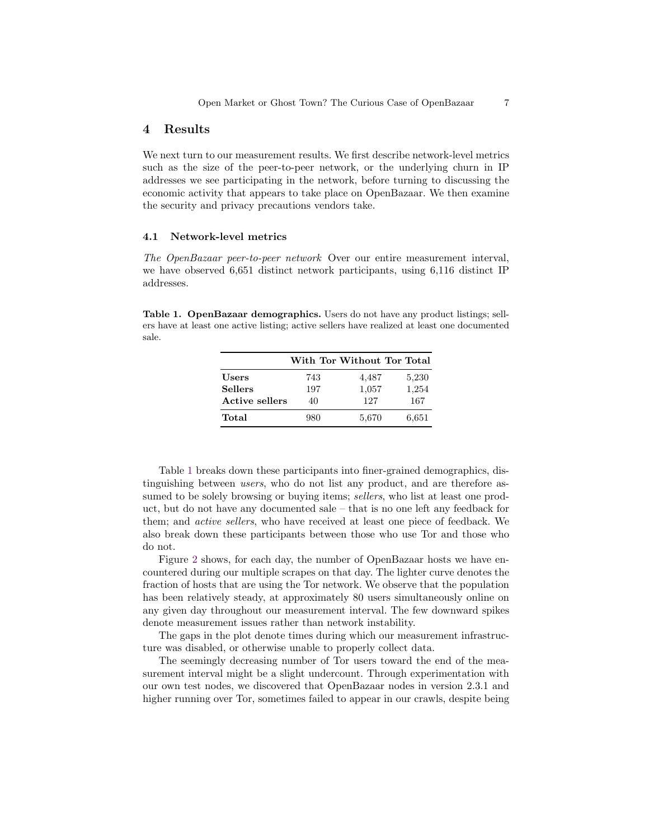## <span id="page-6-0"></span>4 Results

We next turn to our measurement results. We first describe network-level metrics such as the size of the peer-to-peer network, or the underlying churn in IP addresses we see participating in the network, before turning to discussing the economic activity that appears to take place on OpenBazaar. We then examine the security and privacy precautions vendors take.

#### <span id="page-6-1"></span>4.1 Network-level metrics

The OpenBazaar peer-to-peer network Over our entire measurement interval, we have observed 6,651 distinct network participants, using 6,116 distinct IP addresses.

<span id="page-6-2"></span>Table 1. OpenBazaar demographics. Users do not have any product listings; sellers have at least one active listing; active sellers have realized at least one documented sale.

|                       | With Tor Without Tor Total |       |       |
|-----------------------|----------------------------|-------|-------|
| Users                 | 743                        | 4,487 | 5,230 |
| <b>Sellers</b>        | 197                        | 1,057 | 1,254 |
| <b>Active sellers</b> | 40                         | 127   | 167   |
| Total                 | 980                        | 5,670 | 6,651 |

Table [1](#page-6-2) breaks down these participants into finer-grained demographics, distinguishing between users, who do not list any product, and are therefore assumed to be solely browsing or buying items; sellers, who list at least one product, but do not have any documented sale – that is no one left any feedback for them; and active sellers, who have received at least one piece of feedback. We also break down these participants between those who use Tor and those who do not.

Figure [2](#page-7-0) shows, for each day, the number of OpenBazaar hosts we have encountered during our multiple scrapes on that day. The lighter curve denotes the fraction of hosts that are using the Tor network. We observe that the population has been relatively steady, at approximately 80 users simultaneously online on any given day throughout our measurement interval. The few downward spikes denote measurement issues rather than network instability.

The gaps in the plot denote times during which our measurement infrastructure was disabled, or otherwise unable to properly collect data.

The seemingly decreasing number of Tor users toward the end of the measurement interval might be a slight undercount. Through experimentation with our own test nodes, we discovered that OpenBazaar nodes in version 2.3.1 and higher running over Tor, sometimes failed to appear in our crawls, despite being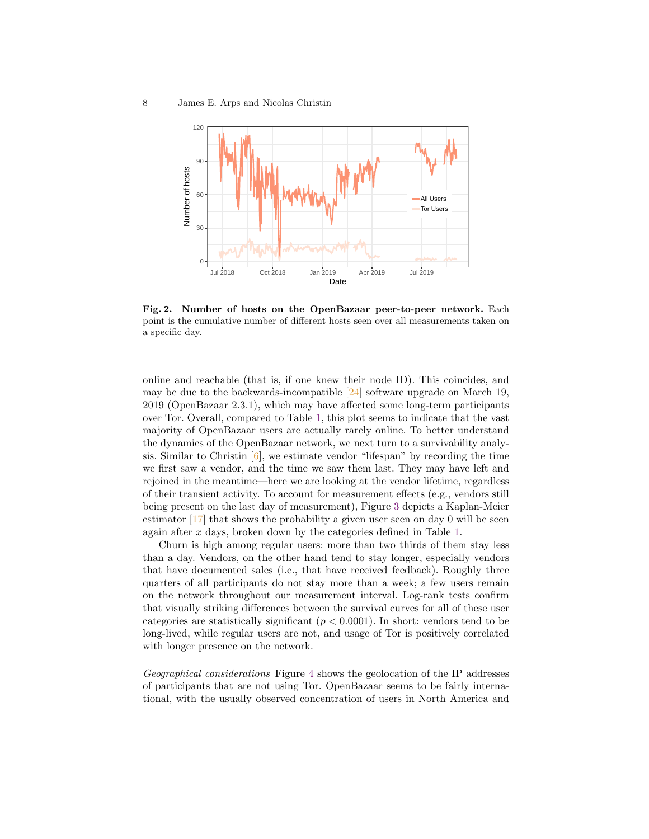8 James E. Arps and Nicolas Christin



<span id="page-7-0"></span>Fig. 2. Number of hosts on the OpenBazaar peer-to-peer network. Each point is the cumulative number of different hosts seen over all measurements taken on a specific day.

online and reachable (that is, if one knew their node ID). This coincides, and may be due to the backwards-incompatible [\[24\]](#page-16-8) software upgrade on March 19, 2019 (OpenBazaar 2.3.1), which may have affected some long-term participants over Tor. Overall, compared to Table [1,](#page-6-2) this plot seems to indicate that the vast majority of OpenBazaar users are actually rarely online. To better understand the dynamics of the OpenBazaar network, we next turn to a survivability analysis. Similar to Christin  $[6]$ , we estimate vendor "lifespan" by recording the time we first saw a vendor, and the time we saw them last. They may have left and rejoined in the meantime—here we are looking at the vendor lifetime, regardless of their transient activity. To account for measurement effects (e.g., vendors still being present on the last day of measurement), Figure [3](#page-8-1) depicts a Kaplan-Meier estimator  $\left[17\right]$  that shows the probability a given user seen on day 0 will be seen again after x days, broken down by the categories defined in Table [1.](#page-6-2)

Churn is high among regular users: more than two thirds of them stay less than a day. Vendors, on the other hand tend to stay longer, especially vendors that have documented sales (i.e., that have received feedback). Roughly three quarters of all participants do not stay more than a week; a few users remain on the network throughout our measurement interval. Log-rank tests confirm that visually striking differences between the survival curves for all of these user categories are statistically significant ( $p < 0.0001$ ). In short: vendors tend to be long-lived, while regular users are not, and usage of Tor is positively correlated with longer presence on the network.

Geographical considerations Figure [4](#page-9-0) shows the geolocation of the IP addresses of participants that are not using Tor. OpenBazaar seems to be fairly international, with the usually observed concentration of users in North America and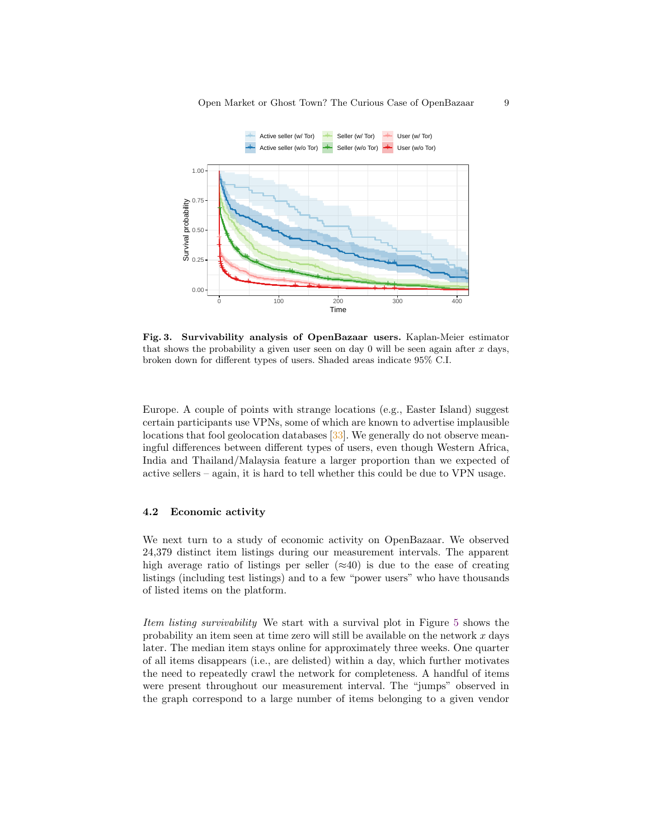

<span id="page-8-1"></span>Fig. 3. Survivability analysis of OpenBazaar users. Kaplan-Meier estimator that shows the probability a given user seen on day 0 will be seen again after  $x$  days, broken down for different types of users. Shaded areas indicate 95% C.I.

Europe. A couple of points with strange locations (e.g., Easter Island) suggest certain participants use VPNs, some of which are known to advertise implausible locations that fool geolocation databases [\[33\]](#page-17-1). We generally do not observe meaningful differences between different types of users, even though Western Africa, India and Thailand/Malaysia feature a larger proportion than we expected of active sellers – again, it is hard to tell whether this could be due to VPN usage.

### <span id="page-8-0"></span>4.2 Economic activity

We next turn to a study of economic activity on OpenBazaar. We observed 24,379 distinct item listings during our measurement intervals. The apparent high average ratio of listings per seller  $(\approx 40)$  is due to the ease of creating listings (including test listings) and to a few "power users" who have thousands of listed items on the platform.

Item listing survivability We start with a survival plot in Figure [5](#page-10-0) shows the probability an item seen at time zero will still be available on the network  $x$  days later. The median item stays online for approximately three weeks. One quarter of all items disappears (i.e., are delisted) within a day, which further motivates the need to repeatedly crawl the network for completeness. A handful of items were present throughout our measurement interval. The "jumps" observed in the graph correspond to a large number of items belonging to a given vendor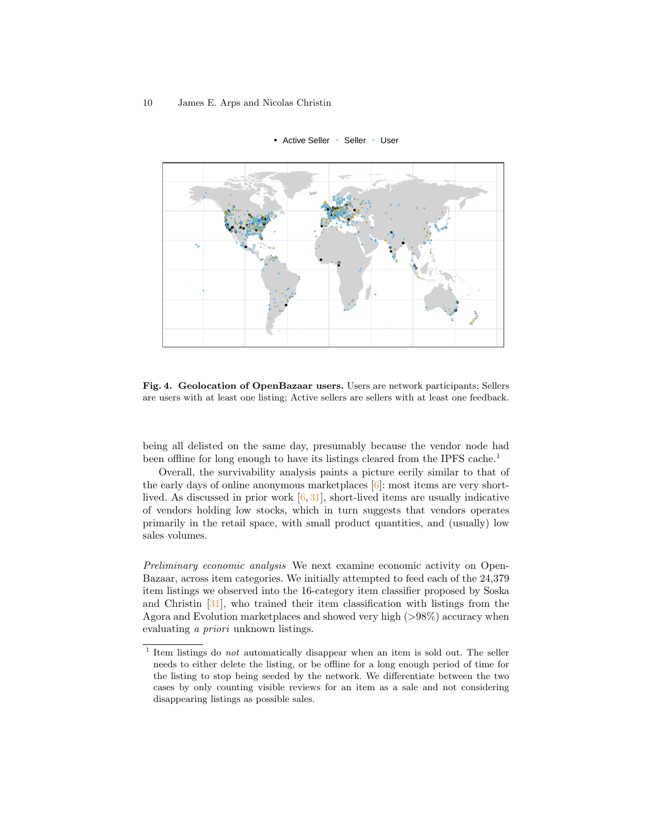

• Active Seller · Seller · User

<span id="page-9-0"></span>Fig. 4. Geolocation of OpenBazaar users. Users are network participants; Sellers are users with at least one listing; Active sellers are sellers with at least one feedback.

being all delisted on the same day, presumably because the vendor node had been offline for long enough to have its listings cleared from the IPFS cache.<sup>[1](#page-9-1)</sup>

Overall, the survivability analysis paints a picture eerily similar to that of the early days of online anonymous marketplaces [\[6\]](#page-15-1): most items are very shortlived. As discussed in prior work  $[6, 31]$  $[6, 31]$  $[6, 31]$ , short-lived items are usually indicative of vendors holding low stocks, which in turn suggests that vendors operates primarily in the retail space, with small product quantities, and (usually) low sales volumes.

Preliminary economic analysis We next examine economic activity on Open-Bazaar, across item categories. We initially attempted to feed each of the 24,379 item listings we observed into the 16-category item classifier proposed by Soska and Christin  $[31]$ , who trained their item classification with listings from the Agora and Evolution marketplaces and showed very high  $(>98%)$  accuracy when evaluating a priori unknown listings.

<span id="page-9-1"></span><sup>&</sup>lt;sup>1</sup> Item listings do *not* automatically disappear when an item is sold out. The seller needs to either delete the listing, or be offline for a long enough period of time for the listing to stop being seeded by the network. We differentiate between the two cases by only counting visible reviews for an item as a sale and not considering disappearing listings as possible sales.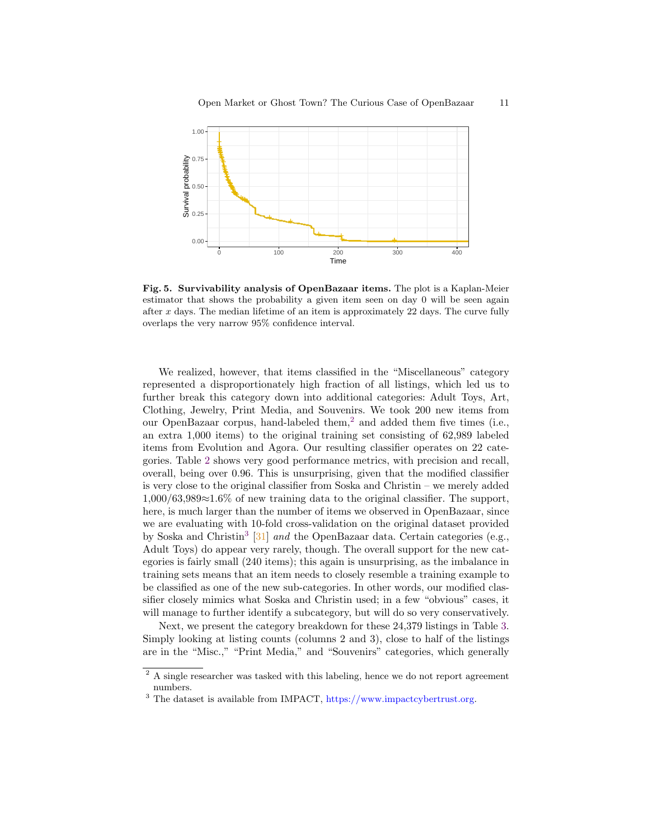

<span id="page-10-0"></span>Fig. 5. Survivability analysis of OpenBazaar items. The plot is a Kaplan-Meier estimator that shows the probability a given item seen on day 0 will be seen again after x days. The median lifetime of an item is approximately 22 days. The curve fully overlaps the very narrow 95% confidence interval.

We realized, however, that items classified in the "Miscellaneous" category represented a disproportionately high fraction of all listings, which led us to further break this category down into additional categories: Adult Toys, Art, Clothing, Jewelry, Print Media, and Souvenirs. We took 200 new items from our OpenBazaar corpus, hand-labeled them,[2](#page-10-1) and added them five times (i.e., an extra 1,000 items) to the original training set consisting of 62,989 labeled items from Evolution and Agora. Our resulting classifier operates on 22 categories. Table [2](#page-11-0) shows very good performance metrics, with precision and recall, overall, being over 0.96. This is unsurprising, given that the modified classifier is very close to the original classifier from Soska and Christin – we merely added 1,000/63,989≈1.6% of new training data to the original classifier. The support, here, is much larger than the number of items we observed in OpenBazaar, since we are evaluating with 10-fold cross-validation on the original dataset provided by Soska and Christin<sup>[3](#page-10-2)</sup> [\[31\]](#page-17-0) and the OpenBazaar data. Certain categories (e.g., Adult Toys) do appear very rarely, though. The overall support for the new categories is fairly small (240 items); this again is unsurprising, as the imbalance in training sets means that an item needs to closely resemble a training example to be classified as one of the new sub-categories. In other words, our modified classifier closely mimics what Soska and Christin used; in a few "obvious" cases, it will manage to further identify a subcategory, but will do so very conservatively.

Next, we present the category breakdown for these 24,379 listings in Table [3.](#page-12-0) Simply looking at listing counts (columns 2 and 3), close to half of the listings are in the "Misc.," "Print Media," and "Souvenirs" categories, which generally

<span id="page-10-1"></span><sup>&</sup>lt;sup>2</sup> A single researcher was tasked with this labeling, hence we do not report agreement numbers.

<span id="page-10-2"></span> $^3$  The dataset is available from IMPACT, [https://www.impactcybertrust.org.](https://www.impactcybertrust.org)  $\,$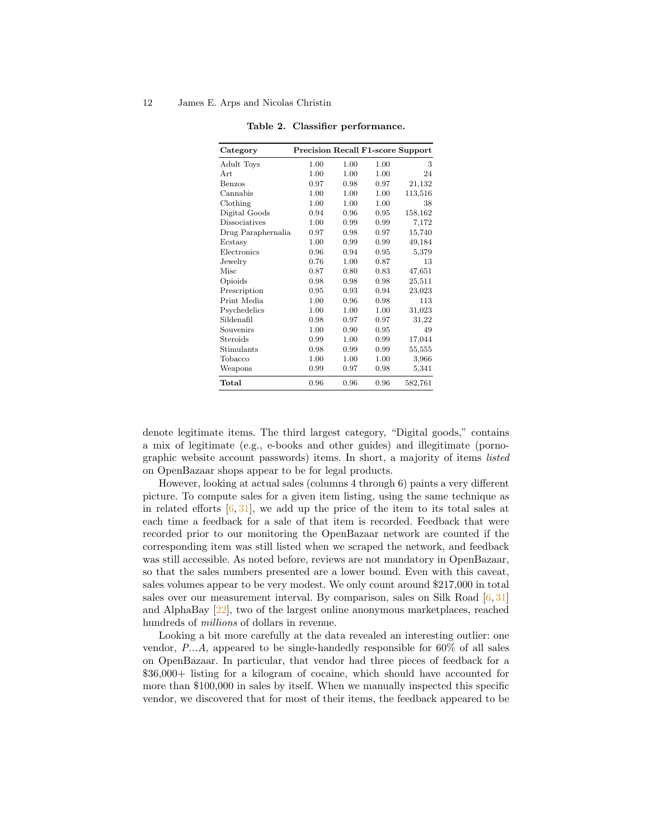| Category           | <b>Precision Recall F1-score Support</b> |      |      |         |
|--------------------|------------------------------------------|------|------|---------|
| Adult Toys         | 1.00                                     | 1.00 | 1.00 | 3       |
| Art                | 1.00                                     | 1.00 | 1.00 | 24      |
| Benzos             | 0.97                                     | 0.98 | 0.97 | 21,132  |
| Cannabis           | 1.00                                     | 1.00 | 1.00 | 113,516 |
| Clothing           | 1.00                                     | 1.00 | 1.00 | 38      |
| Digital Goods      | 0.94                                     | 0.96 | 0.95 | 158,162 |
| Dissociatives      | 1.00                                     | 0.99 | 0.99 | 7,172   |
| Drug Paraphernalia | 0.97                                     | 0.98 | 0.97 | 15,740  |
| Ecstasy            | 1.00                                     | 0.99 | 0.99 | 49,184  |
| Electronics        | 0.96                                     | 0.94 | 0.95 | 5,379   |
| Jewelry            | 0.76                                     | 1.00 | 0.87 | 13      |
| Misc               | 0.87                                     | 0.80 | 0.83 | 47,651  |
| Opioids            | 0.98                                     | 0.98 | 0.98 | 25,511  |
| Prescription       | 0.95                                     | 0.93 | 0.94 | 23,023  |
| Print Media        | 1.00                                     | 0.96 | 0.98 | 113     |
| Psychedelics       | 1.00                                     | 1.00 | 1.00 | 31,023  |
| Sildenafil         | 0.98                                     | 0.97 | 0.97 | 31,22   |
| Souvenirs          | 1.00                                     | 0.90 | 0.95 | 49      |
| Steroids           | 0.99                                     | 1.00 | 0.99 | 17,044  |
| Stimulants         | 0.98                                     | 0.99 | 0.99 | 55,555  |
| Tobacco            | 1.00                                     | 1.00 | 1.00 | 3,966   |
| Weapons            | 0.99                                     | 0.97 | 0.98 | 5,341   |
| Total              | 0.96                                     | 0.96 | 0.96 | 582,761 |

<span id="page-11-0"></span>Table 2. Classifier performance.

denote legitimate items. The third largest category, "Digital goods," contains a mix of legitimate (e.g., e-books and other guides) and illegitimate (pornographic website account passwords) items. In short, a majority of items listed on OpenBazaar shops appear to be for legal products.

However, looking at actual sales (columns 4 through 6) paints a very different picture. To compute sales for a given item listing, using the same technique as in related efforts  $[6, 31]$  $[6, 31]$  $[6, 31]$ , we add up the price of the item to its total sales at each time a feedback for a sale of that item is recorded. Feedback that were recorded prior to our monitoring the OpenBazaar network are counted if the corresponding item was still listed when we scraped the network, and feedback was still accessible. As noted before, reviews are not mandatory in OpenBazaar, so that the sales numbers presented are a lower bound. Even with this caveat, sales volumes appear to be very modest. We only count around \$217,000 in total sales over our measurement interval. By comparison, sales on Silk Road  $[6, 31]$  $[6, 31]$  $[6, 31]$ and AlphaBay [\[22\]](#page-16-4), two of the largest online anonymous marketplaces, reached hundreds of millions of dollars in revenue.

Looking a bit more carefully at the data revealed an interesting outlier: one vendor,  $P...A$ , appeared to be single-handedly responsible for 60% of all sales on OpenBazaar. In particular, that vendor had three pieces of feedback for a \$36,000+ listing for a kilogram of cocaine, which should have accounted for more than \$100,000 in sales by itself. When we manually inspected this specific vendor, we discovered that for most of their items, the feedback appeared to be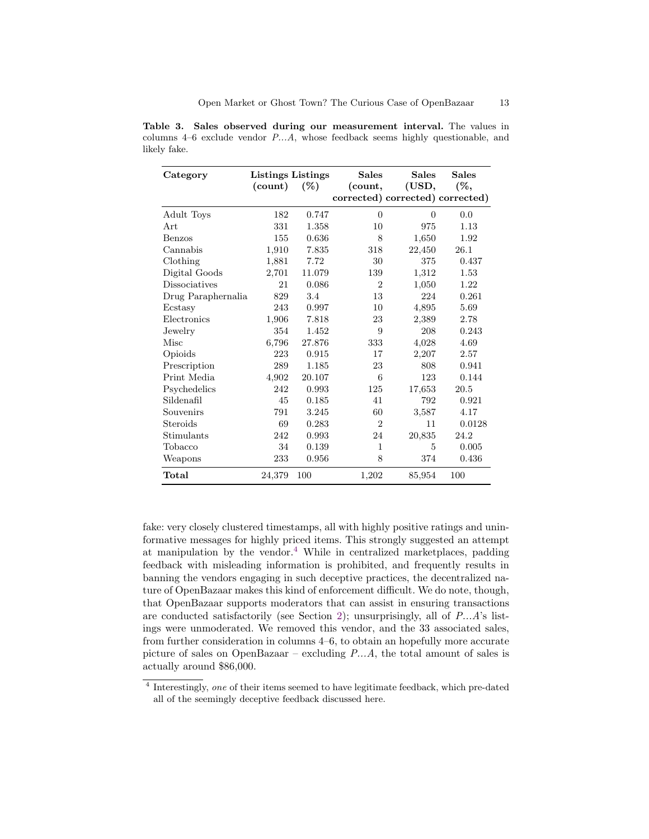| Category           | Listings Listings |        | <b>Sales</b>   | <b>Sales</b>                              | <b>Sales</b> |
|--------------------|-------------------|--------|----------------|-------------------------------------------|--------------|
|                    | (count)           | $(\%)$ | (count,        | (USD,<br>corrected) corrected) corrected) |              |
| Adult Toys         | 182               | 0.747  | $\overline{0}$ | $\overline{0}$                            | 0.0          |
| Art                | 331               | 1.358  | 10             | 975                                       | 1.13         |
| <b>Benzos</b>      | 155               | 0.636  | 8              | 1,650                                     | 1.92         |
| Cannabis           | 1,910             | 7.835  | 318            | 22,450                                    | 26.1         |
|                    |                   | 7.72   | 30             | 375                                       | 0.437        |
| Clothing           | 1,881             |        |                |                                           |              |
| Digital Goods      | 2,701             | 11.079 | 139            | 1,312                                     | 1.53         |
| Dissociatives      | 21                | 0.086  | $\overline{2}$ | 1,050                                     | 1.22         |
| Drug Paraphernalia | 829               | 3.4    | 13             | 224                                       | 0.261        |
| Ecstasy            | 243               | 0.997  | 10             | 4,895                                     | 5.69         |
| Electronics        | 1,906             | 7.818  | 23             | 2,389                                     | 2.78         |
| Jewelry            | 354               | 1.452  | 9              | 208                                       | 0.243        |
| Misc               | 6,796             | 27.876 | 333            | 4,028                                     | 4.69         |
| Opioids            | 223               | 0.915  | 17             | 2,207                                     | 2.57         |
| Prescription       | 289               | 1.185  | 23             | 808                                       | 0.941        |
| Print Media        | 4,902             | 20.107 | 6              | 123                                       | 0.144        |
| Psychedelics       | 242               | 0.993  | 125            | 17,653                                    | 20.5         |
| Sildenafil         | 45                | 0.185  | 41             | 792                                       | 0.921        |
| Souvenirs          | 791               | 3.245  | 60             | 3,587                                     | 4.17         |
| Steroids           | 69                | 0.283  | $\overline{2}$ | 11                                        | 0.0128       |
| Stimulants         | 242               | 0.993  | 24             | 20,835                                    | 24.2         |
| Tobacco            | 34                | 0.139  | $\mathbf{1}$   | 5                                         | 0.005        |
| Weapons            | 233               | 0.956  | 8              | 374                                       | 0.436        |
| Total              | 24,379            | 100    | 1,202          | 85,954                                    | 100          |

<span id="page-12-0"></span>Table 3. Sales observed during our measurement interval. The values in columns  $4-6$  exclude vendor  $P...A$ , whose feedback seems highly questionable, and likely fake.

fake: very closely clustered timestamps, all with highly positive ratings and uninformative messages for highly priced items. This strongly suggested an attempt at manipulation by the vendor. $4$  While in centralized marketplaces, padding feedback with misleading information is prohibited, and frequently results in banning the vendors engaging in such deceptive practices, the decentralized nature of OpenBazaar makes this kind of enforcement difficult. We do note, though, that OpenBazaar supports moderators that can assist in ensuring transactions are conducted satisfactorily (see Section [2\)](#page-1-0); unsurprisingly, all of P...A's listings were unmoderated. We removed this vendor, and the 33 associated sales, from further consideration in columns 4–6, to obtain an hopefully more accurate picture of sales on OpenBazaar – excluding P...A, the total amount of sales is actually around \$86,000.

<span id="page-12-1"></span><sup>&</sup>lt;sup>4</sup> Interestingly, one of their items seemed to have legitimate feedback, which pre-dated all of the seemingly deceptive feedback discussed here.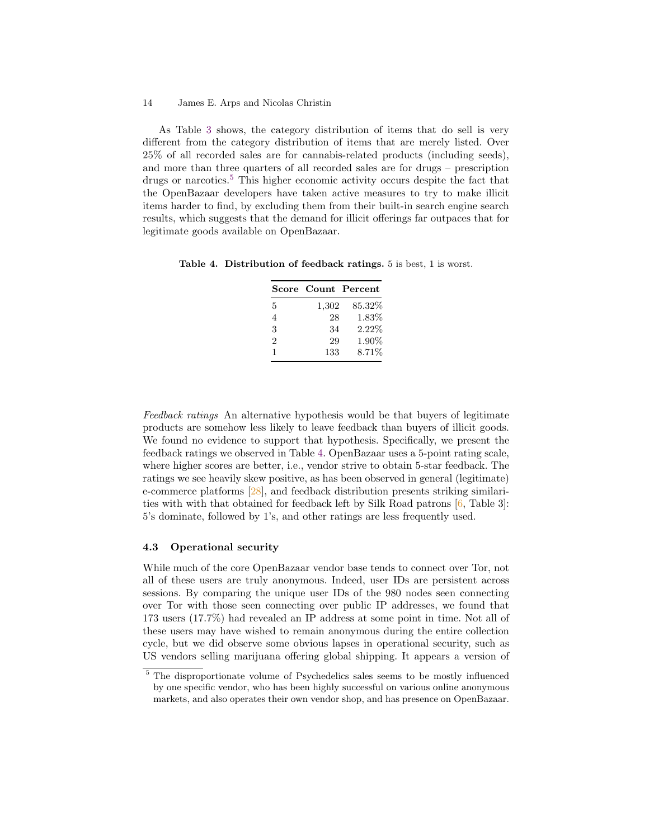As Table [3](#page-12-0) shows, the category distribution of items that do sell is very different from the category distribution of items that are merely listed. Over 25% of all recorded sales are for cannabis-related products (including seeds), and more than three quarters of all recorded sales are for drugs – prescription drugs or narcotics.<sup>[5](#page-13-0)</sup> This higher economic activity occurs despite the fact that the OpenBazaar developers have taken active measures to try to make illicit items harder to find, by excluding them from their built-in search engine search results, which suggests that the demand for illicit offerings far outpaces that for legitimate goods available on OpenBazaar.

<span id="page-13-1"></span>Table 4. Distribution of feedback ratings. 5 is best, 1 is worst.

|   |       | Score Count Percent |
|---|-------|---------------------|
| 5 | 1,302 | 85.32%              |
| 4 | 28    | 1.83%               |
| 3 | 34    | $2.22\%$            |
| 2 | 29    | $1.90\%$            |
| 1 | 133   | 8.71\%              |

Feedback ratings An alternative hypothesis would be that buyers of legitimate products are somehow less likely to leave feedback than buyers of illicit goods. We found no evidence to support that hypothesis. Specifically, we present the feedback ratings we observed in Table [4.](#page-13-1) OpenBazaar uses a 5-point rating scale, where higher scores are better, i.e., vendor strive to obtain 5-star feedback. The ratings we see heavily skew positive, as has been observed in general (legitimate) e-commerce platforms [\[28\]](#page-16-10), and feedback distribution presents striking similarities with with that obtained for feedback left by Silk Road patrons [\[6,](#page-15-1) Table 3]: 5's dominate, followed by 1's, and other ratings are less frequently used.

#### 4.3 Operational security

While much of the core OpenBazaar vendor base tends to connect over Tor, not all of these users are truly anonymous. Indeed, user IDs are persistent across sessions. By comparing the unique user IDs of the 980 nodes seen connecting over Tor with those seen connecting over public IP addresses, we found that 173 users (17.7%) had revealed an IP address at some point in time. Not all of these users may have wished to remain anonymous during the entire collection cycle, but we did observe some obvious lapses in operational security, such as US vendors selling marijuana offering global shipping. It appears a version of

<span id="page-13-0"></span><sup>&</sup>lt;sup>5</sup> The disproportionate volume of Psychedelics sales seems to be mostly influenced by one specific vendor, who has been highly successful on various online anonymous markets, and also operates their own vendor shop, and has presence on OpenBazaar.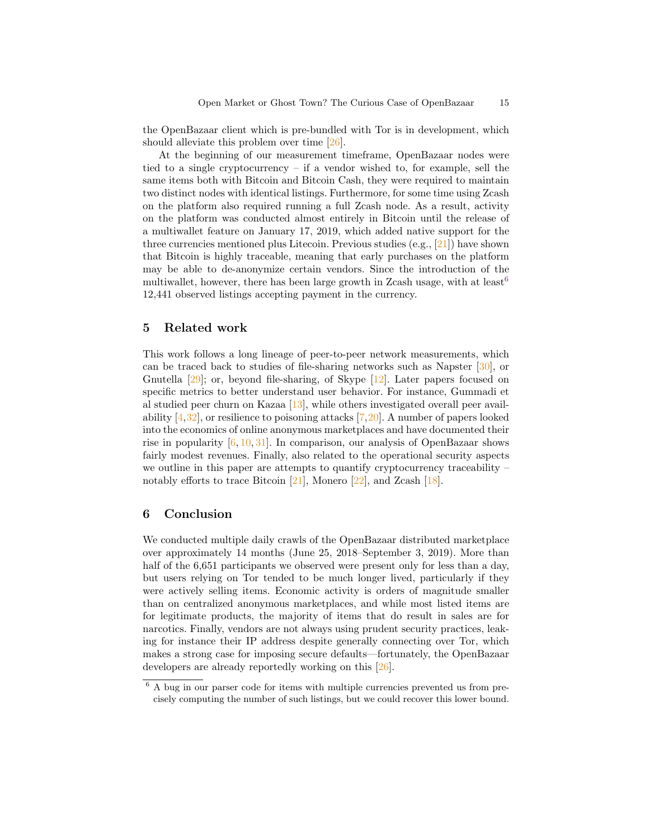the OpenBazaar client which is pre-bundled with Tor is in development, which should alleviate this problem over time [\[26\]](#page-16-11).

At the beginning of our measurement timeframe, OpenBazaar nodes were tied to a single cryptocurrency – if a vendor wished to, for example, sell the same items both with Bitcoin and Bitcoin Cash, they were required to maintain two distinct nodes with identical listings. Furthermore, for some time using Zcash on the platform also required running a full Zcash node. As a result, activity on the platform was conducted almost entirely in Bitcoin until the release of a multiwallet feature on January 17, 2019, which added native support for the three currencies mentioned plus Litecoin. Previous studies (e.g., [\[21\]](#page-16-12)) have shown that Bitcoin is highly traceable, meaning that early purchases on the platform may be able to de-anonymize certain vendors. Since the introduction of the multiwallet, however, there has been large growth in Zcash usage, with at least  $6^{\circ}$  $6^{\circ}$ 12,441 observed listings accepting payment in the currency.

## <span id="page-14-0"></span>5 Related work

This work follows a long lineage of peer-to-peer network measurements, which can be traced back to studies of file-sharing networks such as Napster [\[30\]](#page-16-13), or Gnutella [\[29\]](#page-16-14); or, beyond file-sharing, of Skype [\[12\]](#page-16-15). Later papers focused on specific metrics to better understand user behavior. For instance, Gummadi et al studied peer churn on Kazaa  $[13]$ , while others investigated overall peer availability  $[4,32]$  $[4,32]$ , or resilience to poisoning attacks  $[7,20]$  $[7,20]$ . A number of papers looked into the economics of online anonymous marketplaces and have documented their rise in popularity [\[6,](#page-15-1) [10,](#page-15-2) [31\]](#page-17-0). In comparison, our analysis of OpenBazaar shows fairly modest revenues. Finally, also related to the operational security aspects we outline in this paper are attempts to quantify cryptocurrency traceability – notably efforts to trace Bitcoin [\[21\]](#page-16-12), Monero [\[22\]](#page-16-4), and Zcash [\[18\]](#page-16-18).

## <span id="page-14-1"></span>6 Conclusion

We conducted multiple daily crawls of the OpenBazaar distributed marketplace over approximately 14 months (June 25, 2018–September 3, 2019). More than half of the 6,651 participants we observed were present only for less than a day, but users relying on Tor tended to be much longer lived, particularly if they were actively selling items. Economic activity is orders of magnitude smaller than on centralized anonymous marketplaces, and while most listed items are for legitimate products, the majority of items that do result in sales are for narcotics. Finally, vendors are not always using prudent security practices, leaking for instance their IP address despite generally connecting over Tor, which makes a strong case for imposing secure defaults—fortunately, the OpenBazaar developers are already reportedly working on this [\[26\]](#page-16-11).

<span id="page-14-2"></span> $6$  A bug in our parser code for items with multiple currencies prevented us from precisely computing the number of such listings, but we could recover this lower bound.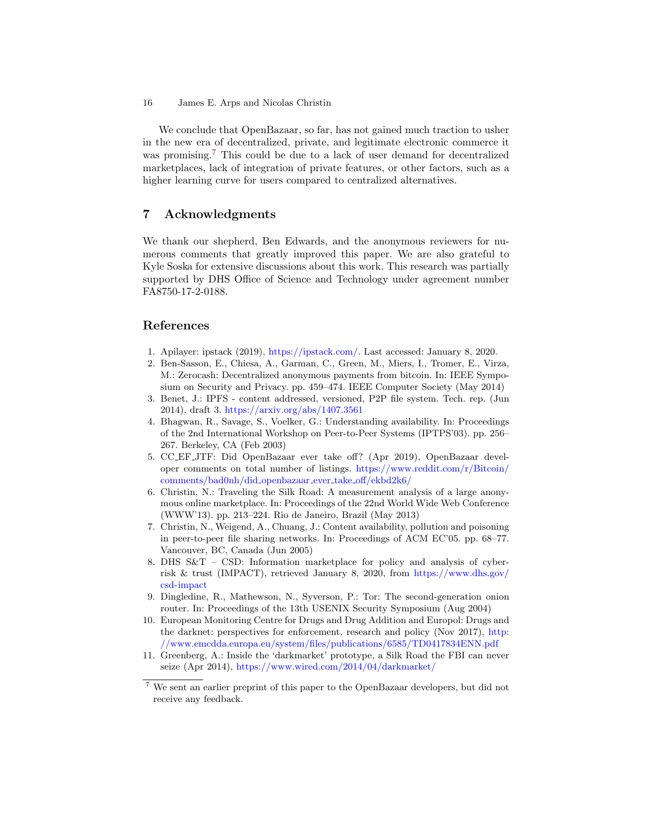We conclude that OpenBazaar, so far, has not gained much traction to usher in the new era of decentralized, private, and legitimate electronic commerce it was promising.<sup>[7](#page-15-10)</sup> This could be due to a lack of user demand for decentralized marketplaces, lack of integration of private features, or other factors, such as a higher learning curve for users compared to centralized alternatives.

## 7 Acknowledgments

We thank our shepherd, Ben Edwards, and the anonymous reviewers for numerous comments that greatly improved this paper. We are also grateful to Kyle Soska for extensive discussions about this work. This research was partially supported by DHS Office of Science and Technology under agreement number FA8750-17-2-0188.

# References

- <span id="page-15-7"></span>1. Apilayer: ipstack (2019), [https://ipstack.com/.](https://ipstack.com/) Last accessed: January 8, 2020.
- <span id="page-15-5"></span>2. Ben-Sasson, E., Chiesa, A., Garman, C., Green, M., Miers, I., Tromer, E., Virza, M.: Zerocash: Decentralized anonymous payments from bitcoin. In: IEEE Symposium on Security and Privacy. pp. 459–474. IEEE Computer Society (May 2014)
- <span id="page-15-4"></span>3. Benet, J.: IPFS - content addressed, versioned, P2P file system. Tech. rep. (Jun 2014), draft 3. <https://arxiv.org/abs/1407.3561>
- <span id="page-15-9"></span>4. Bhagwan, R., Savage, S., Voelker, G.: Understanding availability. In: Proceedings of the 2nd International Workshop on Peer-to-Peer Systems (IPTPS'03). pp. 256– 267. Berkeley, CA (Feb 2003)
- <span id="page-15-8"></span>5. CC EF JTF: Did OpenBazaar ever take off? (Apr 2019), OpenBazaar developer comments on total number of listings. [https://www.reddit.com/r/Bitcoin/](https://www.reddit.com/r/Bitcoin/comments/bad0nh/did_openbazaar_ever_take_off/ekbd2k6/) [comments/bad0nh/did](https://www.reddit.com/r/Bitcoin/comments/bad0nh/did_openbazaar_ever_take_off/ekbd2k6/) openbazaar ever take off/ekbd2k6/
- <span id="page-15-1"></span>6. Christin, N.: Traveling the Silk Road: A measurement analysis of a large anonymous online marketplace. In: Proceedings of the 22nd World Wide Web Conference (WWW'13). pp. 213–224. Rio de Janeiro, Brazil (May 2013)
- <span id="page-15-6"></span>7. Christin, N., Weigend, A., Chuang, J.: Content availability, pollution and poisoning in peer-to-peer file sharing networks. In: Proceedings of ACM EC'05. pp. 68–77. Vancouver, BC, Canada (Jun 2005)
- 8. DHS S&T CSD: Information marketplace for policy and analysis of cyberrisk & trust (IMPACT), retrieved January 8, 2020, from [https://www.dhs.gov/](https://www.dhs.gov/csd-impact) [csd-impact](https://www.dhs.gov/csd-impact)
- <span id="page-15-3"></span>9. Dingledine, R., Mathewson, N., Syverson, P.: Tor: The second-generation onion router. In: Proceedings of the 13th USENIX Security Symposium (Aug 2004)
- <span id="page-15-2"></span>10. European Monitoring Centre for Drugs and Drug Addition and Europol: Drugs and the darknet: perspectives for enforcement, research and policy (Nov 2017), [http:](http://www.emcdda.europa.eu/system/files/publications/6585/TD0417834ENN.pdf) [//www.emcdda.europa.eu/system/files/publications/6585/TD0417834ENN.pdf](http://www.emcdda.europa.eu/system/files/publications/6585/TD0417834ENN.pdf)
- <span id="page-15-0"></span>11. Greenberg, A.: Inside the 'darkmarket' prototype, a Silk Road the FBI can never seize (Apr 2014), <https://www.wired.com/2014/04/darkmarket/>

<sup>16</sup> James E. Arps and Nicolas Christin

<span id="page-15-10"></span><sup>7</sup> We sent an earlier preprint of this paper to the OpenBazaar developers, but did not receive any feedback.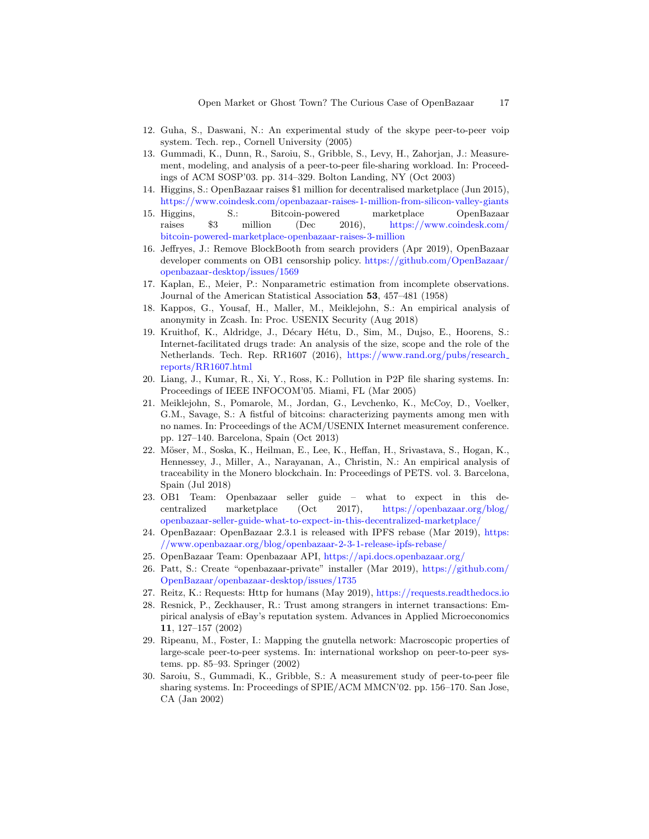- <span id="page-16-15"></span>12. Guha, S., Daswani, N.: An experimental study of the skype peer-to-peer voip system. Tech. rep., Cornell University (2005)
- <span id="page-16-16"></span>13. Gummadi, K., Dunn, R., Saroiu, S., Gribble, S., Levy, H., Zahorjan, J.: Measurement, modeling, and analysis of a peer-to-peer file-sharing workload. In: Proceedings of ACM SOSP'03. pp. 314–329. Bolton Landing, NY (Oct 2003)
- <span id="page-16-0"></span>14. Higgins, S.: OpenBazaar raises \$1 million for decentralised marketplace (Jun 2015), <https://www.coindesk.com/openbazaar-raises-1-million-from-silicon-valley-giants>
- <span id="page-16-1"></span>15. Higgins, S.: Bitcoin-powered marketplace OpenBazaar raises \$3 million (Dec 2016), [https://www.coindesk.com/](https://www.coindesk.com/bitcoin-powered-marketplace-openbazaar-raises-3-million) [bitcoin-powered-marketplace-openbazaar-raises-3-million](https://www.coindesk.com/bitcoin-powered-marketplace-openbazaar-raises-3-million)
- <span id="page-16-2"></span>16. Jeffryes, J.: Remove BlockBooth from search providers (Apr 2019), OpenBazaar developer comments on OB1 censorship policy. [https://github.com/OpenBazaar/](https://github.com/OpenBazaar/openbazaar-desktop/issues/1569) [openbazaar-desktop/issues/1569](https://github.com/OpenBazaar/openbazaar-desktop/issues/1569)
- <span id="page-16-9"></span>17. Kaplan, E., Meier, P.: Nonparametric estimation from incomplete observations. Journal of the American Statistical Association 53, 457–481 (1958)
- <span id="page-16-18"></span>18. Kappos, G., Yousaf, H., Maller, M., Meiklejohn, S.: An empirical analysis of anonymity in Zcash. In: Proc. USENIX Security (Aug 2018)
- <span id="page-16-3"></span>19. Kruithof, K., Aldridge, J., Décary Hétu, D., Sim, M., Dujso, E., Hoorens, S.: Internet-facilitated drugs trade: An analysis of the size, scope and the role of the Netherlands. Tech. Rep. RR1607 (2016), [https://www.rand.org/pubs/research](https://www.rand.org/pubs/research_reports/RR1607.html) [reports/RR1607.html](https://www.rand.org/pubs/research_reports/RR1607.html)
- <span id="page-16-17"></span>20. Liang, J., Kumar, R., Xi, Y., Ross, K.: Pollution in P2P file sharing systems. In: Proceedings of IEEE INFOCOM'05. Miami, FL (Mar 2005)
- <span id="page-16-12"></span>21. Meiklejohn, S., Pomarole, M., Jordan, G., Levchenko, K., McCoy, D., Voelker, G.M., Savage, S.: A fistful of bitcoins: characterizing payments among men with no names. In: Proceedings of the ACM/USENIX Internet measurement conference. pp. 127–140. Barcelona, Spain (Oct 2013)
- <span id="page-16-4"></span>22. Möser, M., Soska, K., Heilman, E., Lee, K., Heffan, H., Srivastava, S., Hogan, K., Hennessey, J., Miller, A., Narayanan, A., Christin, N.: An empirical analysis of traceability in the Monero blockchain. In: Proceedings of PETS. vol. 3. Barcelona, Spain (Jul 2018)
- <span id="page-16-5"></span>23. OB1 Team: Openbazaar seller guide – what to expect in this decentralized marketplace (Oct 2017), [https://openbazaar.org/blog/](https://openbazaar.org/blog/openbazaar-seller-guide-what-to-expect-in-this-decentralized-marketplace/) [openbazaar-seller-guide-what-to-expect-in-this-decentralized-marketplace/](https://openbazaar.org/blog/openbazaar-seller-guide-what-to-expect-in-this-decentralized-marketplace/)
- <span id="page-16-8"></span>24. OpenBazaar: OpenBazaar 2.3.1 is released with IPFS rebase (Mar 2019), [https:](https://www.openbazaar.org/blog/openbazaar-2-3-1-release-ipfs-rebase/) [//www.openbazaar.org/blog/openbazaar-2-3-1-release-ipfs-rebase/](https://www.openbazaar.org/blog/openbazaar-2-3-1-release-ipfs-rebase/)
- <span id="page-16-6"></span>25. OpenBazaar Team: Openbazaar API, <https://api.docs.openbazaar.org/>
- <span id="page-16-11"></span>26. Patt, S.: Create "openbazaar-private" installer (Mar 2019), [https://github.com/](https://github.com/OpenBazaar/openbazaar-desktop/issues/1735) [OpenBazaar/openbazaar-desktop/issues/1735](https://github.com/OpenBazaar/openbazaar-desktop/issues/1735)
- <span id="page-16-7"></span>27. Reitz, K.: Requests: Http for humans (May 2019), <https://requests.readthedocs.io>
- <span id="page-16-10"></span>28. Resnick, P., Zeckhauser, R.: Trust among strangers in internet transactions: Empirical analysis of eBay's reputation system. Advances in Applied Microeconomics 11, 127–157 (2002)
- <span id="page-16-14"></span>29. Ripeanu, M., Foster, I.: Mapping the gnutella network: Macroscopic properties of large-scale peer-to-peer systems. In: international workshop on peer-to-peer systems. pp. 85–93. Springer (2002)
- <span id="page-16-13"></span>30. Saroiu, S., Gummadi, K., Gribble, S.: A measurement study of peer-to-peer file sharing systems. In: Proceedings of SPIE/ACM MMCN'02. pp. 156–170. San Jose, CA (Jan 2002)